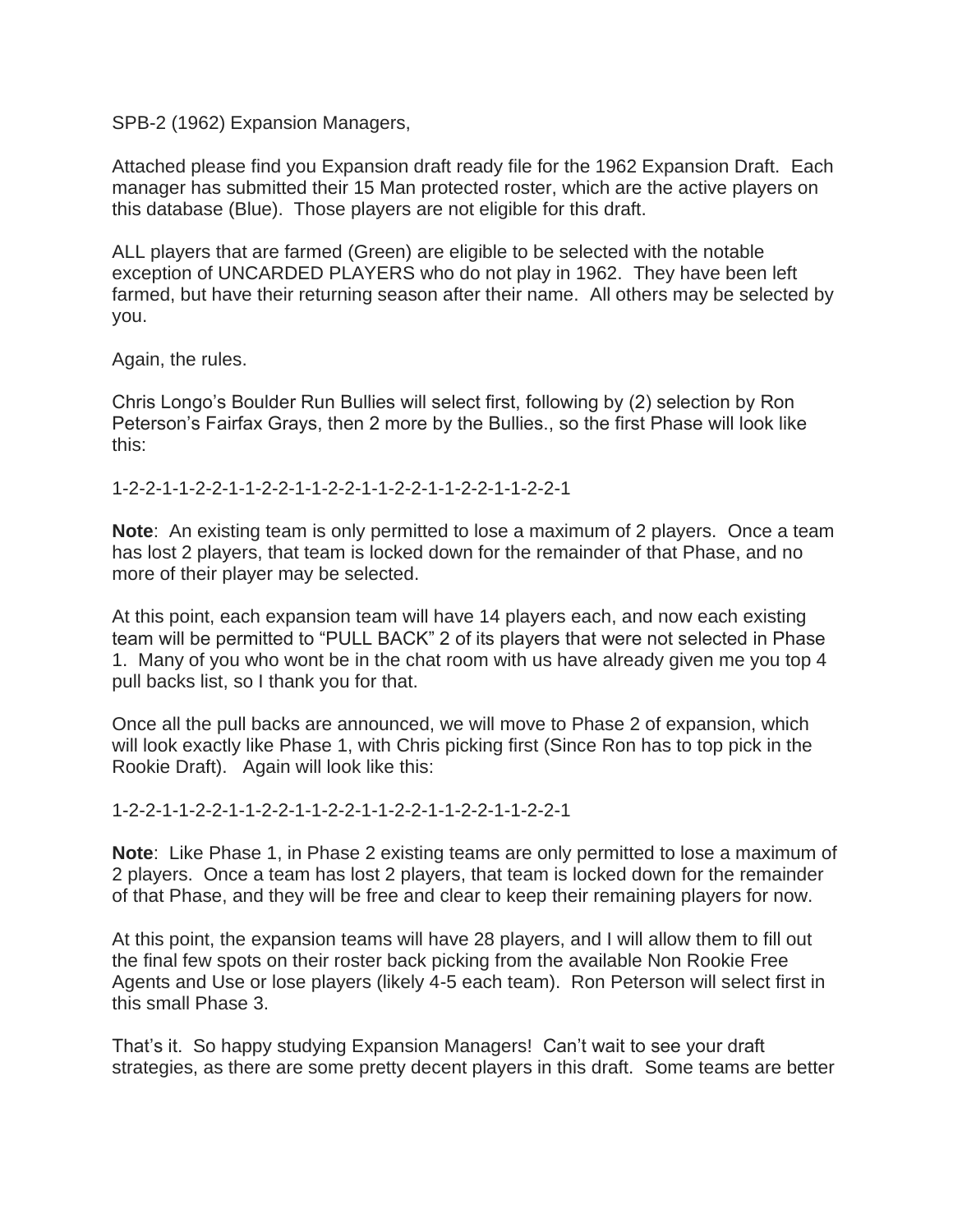SPB-2 (1962) Expansion Managers,

Attached please find you Expansion draft ready file for the 1962 Expansion Draft. Each manager has submitted their 15 Man protected roster, which are the active players on this database (Blue). Those players are not eligible for this draft.

ALL players that are farmed (Green) are eligible to be selected with the notable exception of UNCARDED PLAYERS who do not play in 1962. They have been left farmed, but have their returning season after their name. All others may be selected by you.

Again, the rules.

Chris Longo's Boulder Run Bullies will select first, following by (2) selection by Ron Peterson's Fairfax Grays, then 2 more by the Bullies., so the first Phase will look like this:

1-2-2-1-1-2-2-1-1-2-2-1-1-2-2-1-1-2-2-1-1-2-2-1-1-2-2-1

**Note**: An existing team is only permitted to lose a maximum of 2 players. Once a team has lost 2 players, that team is locked down for the remainder of that Phase, and no more of their player may be selected.

At this point, each expansion team will have 14 players each, and now each existing team will be permitted to "PULL BACK" 2 of its players that were not selected in Phase 1. Many of you who wont be in the chat room with us have already given me you top 4 pull backs list, so I thank you for that.

Once all the pull backs are announced, we will move to Phase 2 of expansion, which will look exactly like Phase 1, with Chris picking first (Since Ron has to top pick in the Rookie Draft). Again will look like this:

1-2-2-1-1-2-2-1-1-2-2-1-1-2-2-1-1-2-2-1-1-2-2-1-1-2-2-1

**Note**: Like Phase 1, in Phase 2 existing teams are only permitted to lose a maximum of 2 players. Once a team has lost 2 players, that team is locked down for the remainder of that Phase, and they will be free and clear to keep their remaining players for now.

At this point, the expansion teams will have 28 players, and I will allow them to fill out the final few spots on their roster back picking from the available Non Rookie Free Agents and Use or lose players (likely 4-5 each team). Ron Peterson will select first in this small Phase 3.

That's it. So happy studying Expansion Managers! Can't wait to see your draft strategies, as there are some pretty decent players in this draft. Some teams are better